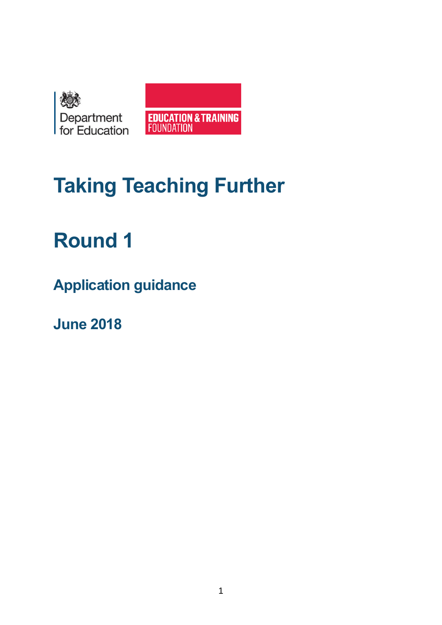



# **Taking Teaching Further**

# **Round 1**

**Application guidance**

**June 2018**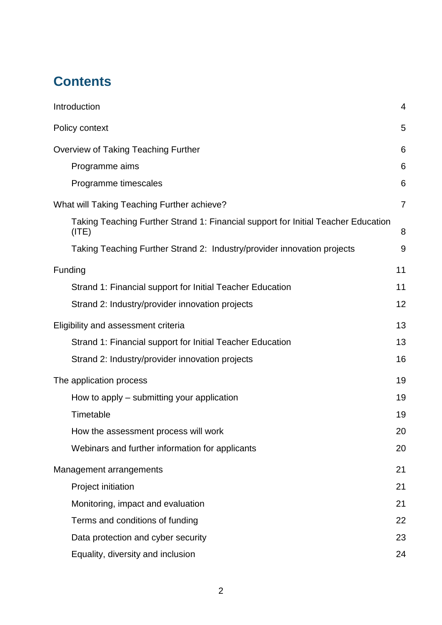## **Contents**

| Introduction                                                                               | 4              |
|--------------------------------------------------------------------------------------------|----------------|
| Policy context                                                                             | 5              |
| <b>Overview of Taking Teaching Further</b>                                                 | 6              |
| Programme aims                                                                             | 6              |
| Programme timescales                                                                       | 6              |
| What will Taking Teaching Further achieve?                                                 | $\overline{7}$ |
| Taking Teaching Further Strand 1: Financial support for Initial Teacher Education<br>(ITE) | 8              |
| Taking Teaching Further Strand 2: Industry/provider innovation projects                    | 9              |
| Funding                                                                                    | 11             |
| Strand 1: Financial support for Initial Teacher Education                                  | 11             |
| Strand 2: Industry/provider innovation projects                                            | 12             |
| Eligibility and assessment criteria                                                        | 13             |
| Strand 1: Financial support for Initial Teacher Education                                  | 13             |
| Strand 2: Industry/provider innovation projects                                            | 16             |
| The application process                                                                    | 19             |
| How to apply – submitting your application                                                 | 19             |
| Timetable                                                                                  | 19             |
| How the assessment process will work                                                       | 20             |
| Webinars and further information for applicants                                            | 20             |
| Management arrangements                                                                    | 21             |
| Project initiation                                                                         | 21             |
| Monitoring, impact and evaluation                                                          | 21             |
| Terms and conditions of funding                                                            | 22             |
| Data protection and cyber security                                                         | 23             |
| Equality, diversity and inclusion                                                          | 24             |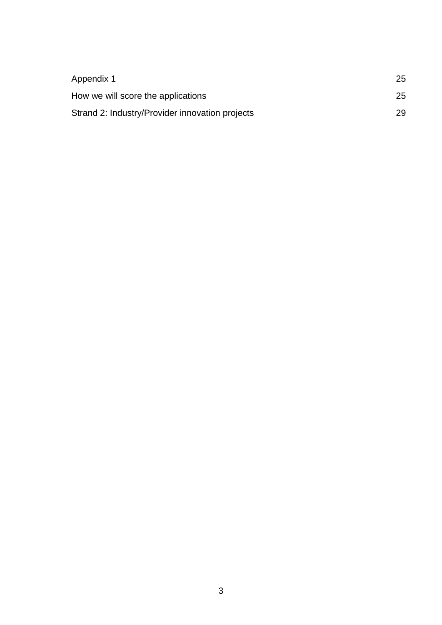<span id="page-2-0"></span>

| Appendix 1                                      | 25 |
|-------------------------------------------------|----|
| How we will score the applications              | 25 |
| Strand 2: Industry/Provider innovation projects | 29 |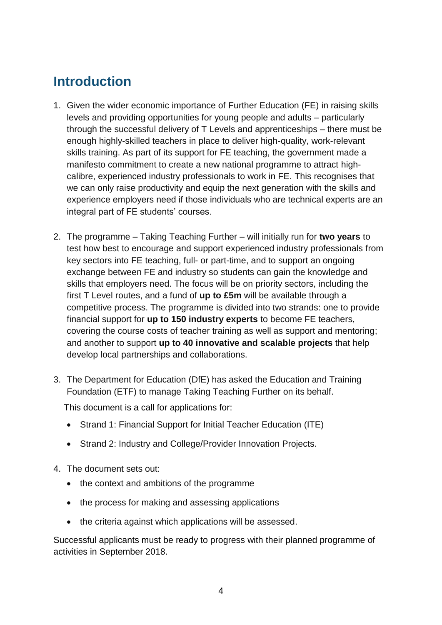## **Introduction**

- 1. Given the wider economic importance of Further Education (FE) in raising skills levels and providing opportunities for young people and adults – particularly through the successful delivery of T Levels and apprenticeships – there must be enough highly-skilled teachers in place to deliver high-quality, work-relevant skills training. As part of its support for FE teaching, the government made a manifesto commitment to create a new national programme to attract highcalibre, experienced industry professionals to work in FE. This recognises that we can only raise productivity and equip the next generation with the skills and experience employers need if those individuals who are technical experts are an integral part of FE students' courses.
- 2. The programme Taking Teaching Further will initially run for **two years** to test how best to encourage and support experienced industry professionals from key sectors into FE teaching, full- or part-time, and to support an ongoing exchange between FE and industry so students can gain the knowledge and skills that employers need. The focus will be on priority sectors, including the first T Level routes, and a fund of **up to £5m** will be available through a competitive process. The programme is divided into two strands: one to provide financial support for **up to 150 industry experts** to become FE teachers, covering the course costs of teacher training as well as support and mentoring; and another to support **up to 40 innovative and scalable projects** that help develop local partnerships and collaborations.
- 3. The Department for Education (DfE) has asked the Education and Training Foundation (ETF) to manage Taking Teaching Further on its behalf.

This document is a call for applications for:

- Strand 1: Financial Support for Initial Teacher Education (ITE)
- Strand 2: Industry and College/Provider Innovation Projects.
- 4. The document sets out:
	- the context and ambitions of the programme
	- the process for making and assessing applications
	- the criteria against which applications will be assessed.

Successful applicants must be ready to progress with their planned programme of activities in September 2018.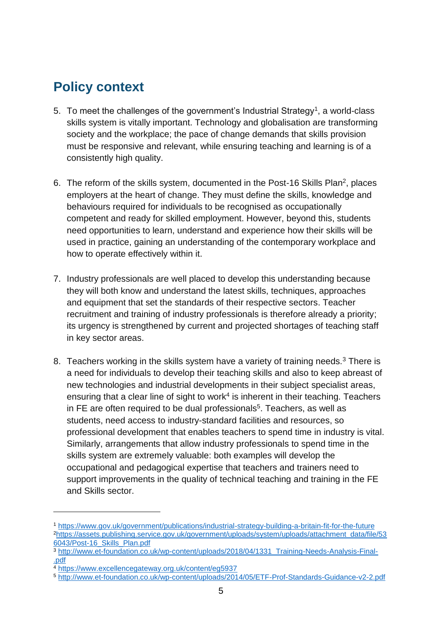## <span id="page-4-0"></span>**Policy context**

- 5. To meet the challenges of the government's Industrial Strategy<sup>1</sup>, a world-class skills system is vitally important. Technology and globalisation are transforming society and the workplace; the pace of change demands that skills provision must be responsive and relevant, while ensuring teaching and learning is of a consistently high quality.
- 6. The reform of the skills system, documented in the Post-16 Skills Plan<sup>2</sup>, places employers at the heart of change. They must define the skills, knowledge and behaviours required for individuals to be recognised as occupationally competent and ready for skilled employment. However, beyond this, students need opportunities to learn, understand and experience how their skills will be used in practice, gaining an understanding of the contemporary workplace and how to operate effectively within it.
- 7. Industry professionals are well placed to develop this understanding because they will both know and understand the latest skills, techniques, approaches and equipment that set the standards of their respective sectors. Teacher recruitment and training of industry professionals is therefore already a priority; its urgency is strengthened by current and projected shortages of teaching staff in key sector areas.
- 8. Teachers working in the skills system have a variety of training needs.<sup>3</sup> There is a need for individuals to develop their teaching skills and also to keep abreast of new technologies and industrial developments in their subject specialist areas, ensuring that a clear line of sight to work $4$  is inherent in their teaching. Teachers in FE are often required to be dual professionals<sup>5</sup>. Teachers, as well as students, need access to industry-standard facilities and resources, so professional development that enables teachers to spend time in industry is vital. Similarly, arrangements that allow industry professionals to spend time in the skills system are extremely valuable: both examples will develop the occupational and pedagogical expertise that teachers and trainers need to support improvements in the quality of technical teaching and training in the FE and Skills sector.

1

<sup>1</sup> <https://www.gov.uk/government/publications/industrial-strategy-building-a-britain-fit-for-the-future> <sup>2</sup>[https://assets.publishing.service.gov.uk/government/uploads/system/uploads/attachment\\_data/file/53](https://assets.publishing.service.gov.uk/government/uploads/system/uploads/attachment_data/file/536043/Post-16_Skills_Plan.pdf) [6043/Post-16\\_Skills\\_Plan.pdf](https://assets.publishing.service.gov.uk/government/uploads/system/uploads/attachment_data/file/536043/Post-16_Skills_Plan.pdf)

<sup>3</sup> [http://www.et-foundation.co.uk/wp-content/uploads/2018/04/1331\\_Training-Needs-Analysis-Final-](http://www.et-foundation.co.uk/wp-content/uploads/2018/04/1331_Training-Needs-Analysis-Final-.pdf) [.pdf](http://www.et-foundation.co.uk/wp-content/uploads/2018/04/1331_Training-Needs-Analysis-Final-.pdf)

<sup>4</sup> <https://www.excellencegateway.org.uk/content/eg5937>

<sup>5</sup> <http://www.et-foundation.co.uk/wp-content/uploads/2014/05/ETF-Prof-Standards-Guidance-v2-2.pdf>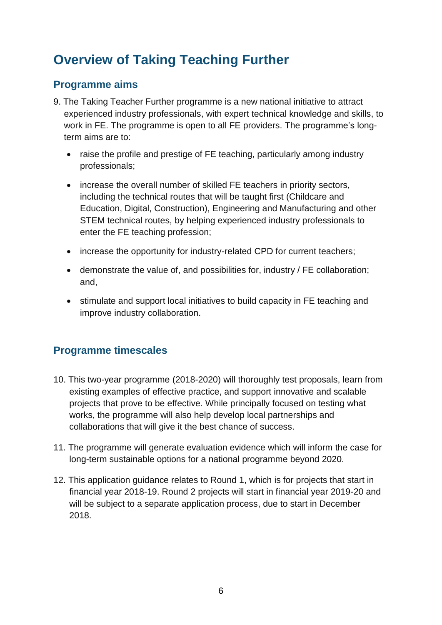## <span id="page-5-0"></span>**Overview of Taking Teaching Further**

### <span id="page-5-1"></span>**Programme aims**

- 9. The Taking Teacher Further programme is a new national initiative to attract experienced industry professionals, with expert technical knowledge and skills, to work in FE. The programme is open to all FE providers. The programme's longterm aims are to:
	- raise the profile and prestige of FE teaching, particularly among industry professionals;
	- increase the overall number of skilled FE teachers in priority sectors, including the technical routes that will be taught first (Childcare and Education, Digital, Construction), Engineering and Manufacturing and other STEM technical routes, by helping experienced industry professionals to enter the FE teaching profession;
	- increase the opportunity for industry-related CPD for current teachers;
	- demonstrate the value of, and possibilities for, industry / FE collaboration; and,
	- stimulate and support local initiatives to build capacity in FE teaching and improve industry collaboration.

## <span id="page-5-2"></span>**Programme timescales**

- 10. This two-year programme (2018-2020) will thoroughly test proposals, learn from existing examples of effective practice, and support innovative and scalable projects that prove to be effective. While principally focused on testing what works, the programme will also help develop local partnerships and collaborations that will give it the best chance of success.
- 11. The programme will generate evaluation evidence which will inform the case for long-term sustainable options for a national programme beyond 2020.
- 12. This application guidance relates to Round 1, which is for projects that start in financial year 2018-19. Round 2 projects will start in financial year 2019-20 and will be subject to a separate application process, due to start in December 2018.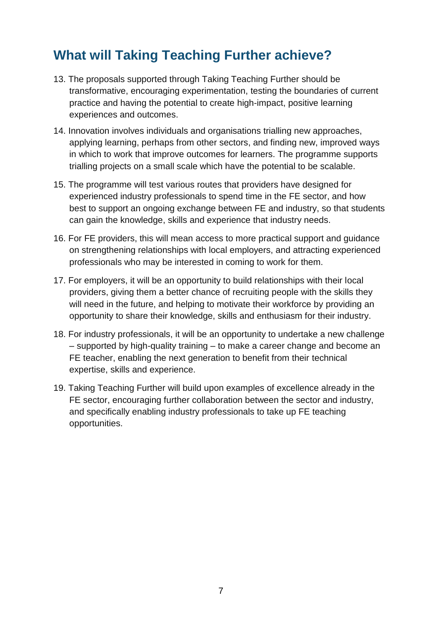## <span id="page-6-0"></span>**What will Taking Teaching Further achieve?**

- 13. The proposals supported through Taking Teaching Further should be transformative, encouraging experimentation, testing the boundaries of current practice and having the potential to create high-impact, positive learning experiences and outcomes.
- 14. Innovation involves individuals and organisations trialling new approaches, applying learning, perhaps from other sectors, and finding new, improved ways in which to work that improve outcomes for learners. The programme supports trialling projects on a small scale which have the potential to be scalable.
- 15. The programme will test various routes that providers have designed for experienced industry professionals to spend time in the FE sector, and how best to support an ongoing exchange between FE and industry, so that students can gain the knowledge, skills and experience that industry needs.
- 16. For FE providers, this will mean access to more practical support and guidance on strengthening relationships with local employers, and attracting experienced professionals who may be interested in coming to work for them.
- 17. For employers, it will be an opportunity to build relationships with their local providers, giving them a better chance of recruiting people with the skills they will need in the future, and helping to motivate their workforce by providing an opportunity to share their knowledge, skills and enthusiasm for their industry.
- 18. For industry professionals, it will be an opportunity to undertake a new challenge – supported by high-quality training – to make a career change and become an FE teacher, enabling the next generation to benefit from their technical expertise, skills and experience.
- 19. Taking Teaching Further will build upon examples of excellence already in the FE sector, encouraging further collaboration between the sector and industry, and specifically enabling industry professionals to take up FE teaching opportunities.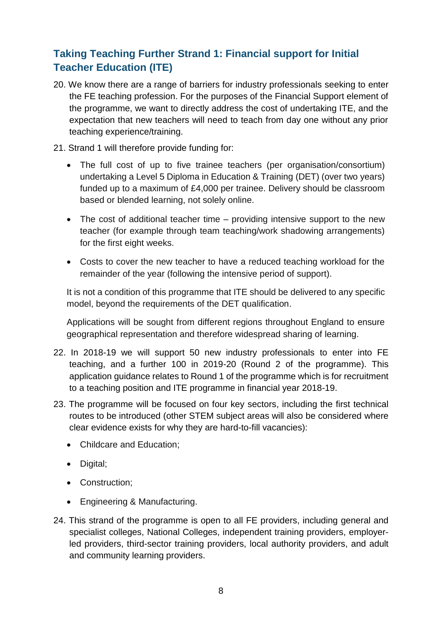## <span id="page-7-0"></span>**Taking Teaching Further Strand 1: Financial support for Initial Teacher Education (ITE)**

- 20. We know there are a range of barriers for industry professionals seeking to enter the FE teaching profession. For the purposes of the Financial Support element of the programme, we want to directly address the cost of undertaking ITE, and the expectation that new teachers will need to teach from day one without any prior teaching experience/training.
- 21. Strand 1 will therefore provide funding for:
	- The full cost of up to five trainee teachers (per organisation/consortium) undertaking a Level 5 Diploma in Education & Training (DET) (over two years) funded up to a maximum of £4,000 per trainee. Delivery should be classroom based or blended learning, not solely online.
	- The cost of additional teacher time providing intensive support to the new teacher (for example through team teaching/work shadowing arrangements) for the first eight weeks.
	- Costs to cover the new teacher to have a reduced teaching workload for the remainder of the year (following the intensive period of support).

It is not a condition of this programme that ITE should be delivered to any specific model, beyond the requirements of the DET qualification.

Applications will be sought from different regions throughout England to ensure geographical representation and therefore widespread sharing of learning.

- 22. In 2018-19 we will support 50 new industry professionals to enter into FE teaching, and a further 100 in 2019-20 (Round 2 of the programme). This application guidance relates to Round 1 of the programme which is for recruitment to a teaching position and ITE programme in financial year 2018-19.
- 23. The programme will be focused on four key sectors, including the first technical routes to be introduced (other STEM subject areas will also be considered where clear evidence exists for why they are hard-to-fill vacancies):
	- Childcare and Education;
	- Digital;
	- Construction;
	- Engineering & Manufacturing.
- 24. This strand of the programme is open to all FE providers, including general and specialist colleges, National Colleges, independent training providers, employerled providers, third-sector training providers, local authority providers, and adult and community learning providers.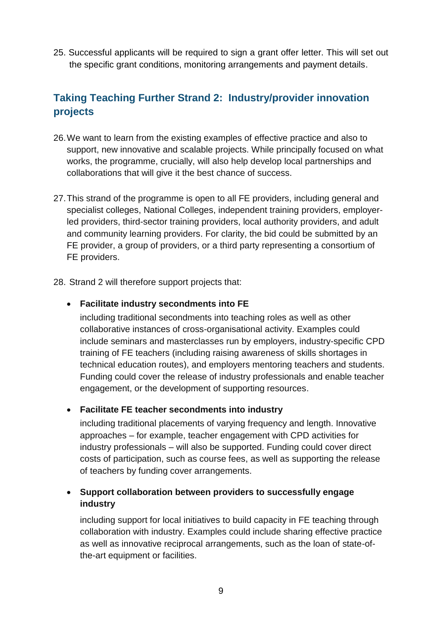25. Successful applicants will be required to sign a grant offer letter. This will set out the specific grant conditions, monitoring arrangements and payment details.

## <span id="page-8-0"></span>**Taking Teaching Further Strand 2: Industry/provider innovation projects**

- 26.We want to learn from the existing examples of effective practice and also to support, new innovative and scalable projects. While principally focused on what works, the programme, crucially, will also help develop local partnerships and collaborations that will give it the best chance of success.
- 27.This strand of the programme is open to all FE providers, including general and specialist colleges, National Colleges, independent training providers, employerled providers, third-sector training providers, local authority providers, and adult and community learning providers. For clarity, the bid could be submitted by an FE provider, a group of providers, or a third party representing a consortium of FE providers.
- 28. Strand 2 will therefore support projects that:

#### • **Facilitate industry secondments into FE**

including traditional secondments into teaching roles as well as other collaborative instances of cross-organisational activity. Examples could include seminars and masterclasses run by employers, industry-specific CPD training of FE teachers (including raising awareness of skills shortages in technical education routes), and employers mentoring teachers and students. Funding could cover the release of industry professionals and enable teacher engagement, or the development of supporting resources.

#### • **Facilitate FE teacher secondments into industry**

including traditional placements of varying frequency and length. Innovative approaches – for example, teacher engagement with CPD activities for industry professionals – will also be supported. Funding could cover direct costs of participation, such as course fees, as well as supporting the release of teachers by funding cover arrangements.

#### • **Support collaboration between providers to successfully engage industry**

including support for local initiatives to build capacity in FE teaching through collaboration with industry. Examples could include sharing effective practice as well as innovative reciprocal arrangements, such as the loan of state-ofthe-art equipment or facilities.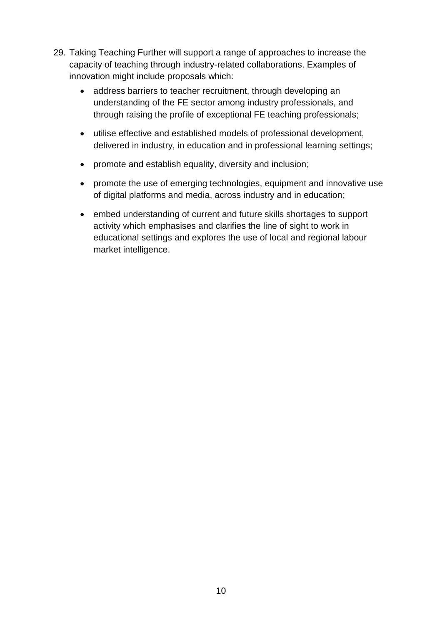- 29. Taking Teaching Further will support a range of approaches to increase the capacity of teaching through industry-related collaborations. Examples of innovation might include proposals which:
	- address barriers to teacher recruitment, through developing an understanding of the FE sector among industry professionals, and through raising the profile of exceptional FE teaching professionals;
	- utilise effective and established models of professional development, delivered in industry, in education and in professional learning settings;
	- promote and establish equality, diversity and inclusion;
	- promote the use of emerging technologies, equipment and innovative use of digital platforms and media, across industry and in education;
	- embed understanding of current and future skills shortages to support activity which emphasises and clarifies the line of sight to work in educational settings and explores the use of local and regional labour market intelligence.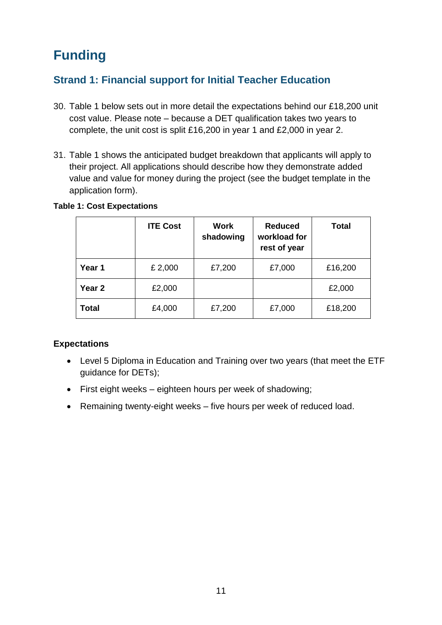## <span id="page-10-0"></span>**Funding**

## <span id="page-10-1"></span>**Strand 1: Financial support for Initial Teacher Education**

- 30. Table 1 below sets out in more detail the expectations behind our £18,200 unit cost value. Please note – because a DET qualification takes two years to complete, the unit cost is split £16,200 in year 1 and £2,000 in year 2.
- 31. Table 1 shows the anticipated budget breakdown that applicants will apply to their project. All applications should describe how they demonstrate added value and value for money during the project (see the budget template in the application form).

**Year 1** E 2,000 E E 7,200 E 27,000 E 16,200

**Year 2 E2,000 E2,000 E2,000** 

**Total**  $\left| \begin{array}{c} \text{£4,000} \\ \text{£7,200} \end{array} \right|$  £7,000  $\left| \begin{array}{c} \text{£18,200} \\ \text{£18,200} \end{array} \right|$ 

**Total**

|  | <b>ITE Cost</b> | Work<br>shadowing | <b>Reduced</b><br>workload for<br>rest of year |
|--|-----------------|-------------------|------------------------------------------------|
|  |                 |                   |                                                |

#### **Table 1: Cost Expectations**

#### **Expectations**

- Level 5 Diploma in Education and Training over two years (that meet the ETF guidance for DETs);
- First eight weeks eighteen hours per week of shadowing;
- Remaining twenty-eight weeks five hours per week of reduced load.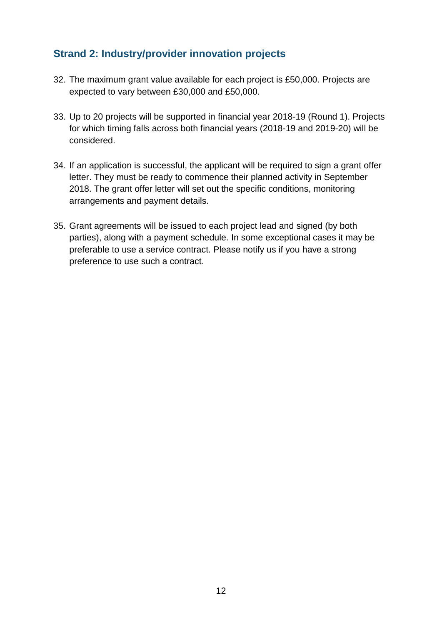### <span id="page-11-0"></span>**Strand 2: Industry/provider innovation projects**

- 32. The maximum grant value available for each project is £50,000. Projects are expected to vary between £30,000 and £50,000.
- 33. Up to 20 projects will be supported in financial year 2018-19 (Round 1). Projects for which timing falls across both financial years (2018-19 and 2019-20) will be considered.
- 34. If an application is successful, the applicant will be required to sign a grant offer letter. They must be ready to commence their planned activity in September 2018. The grant offer letter will set out the specific conditions, monitoring arrangements and payment details.
- 35. Grant agreements will be issued to each project lead and signed (by both parties), along with a payment schedule. In some exceptional cases it may be preferable to use a service contract. Please notify us if you have a strong preference to use such a contract.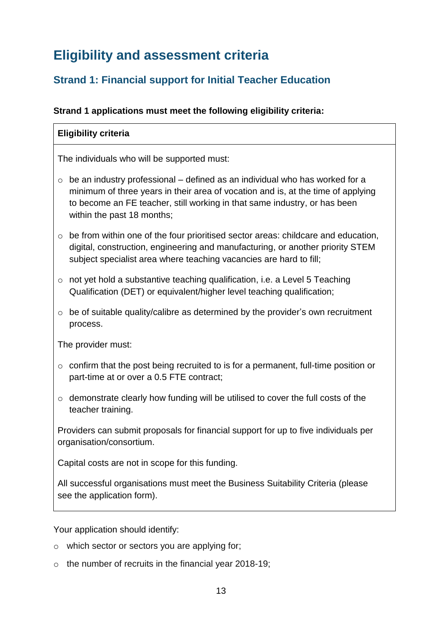## <span id="page-12-0"></span>**Eligibility and assessment criteria**

## <span id="page-12-1"></span>**Strand 1: Financial support for Initial Teacher Education**

#### **Strand 1 applications must meet the following eligibility criteria:**

#### **Eligibility criteria**

The individuals who will be supported must:

- $\circ$  be an industry professional defined as an individual who has worked for a minimum of three years in their area of vocation and is, at the time of applying to become an FE teacher, still working in that same industry, or has been within the past 18 months;
- $\circ$  be from within one of the four prioritised sector areas: childcare and education, digital, construction, engineering and manufacturing, or another priority STEM subject specialist area where teaching vacancies are hard to fill;
- o not yet hold a substantive teaching qualification, i.e. a Level 5 Teaching Qualification (DET) or equivalent/higher level teaching qualification;
- $\circ$  be of suitable quality/calibre as determined by the provider's own recruitment process.

The provider must:

- o confirm that the post being recruited to is for a permanent, full-time position or part-time at or over a 0.5 FTE contract;
- o demonstrate clearly how funding will be utilised to cover the full costs of the teacher training.

Providers can submit proposals for financial support for up to five individuals per organisation/consortium.

Capital costs are not in scope for this funding.

All successful organisations must meet the Business Suitability Criteria (please see the application form).

Your application should identify:

- o which sector or sectors you are applying for;
- $\circ$  the number of recruits in the financial year 2018-19;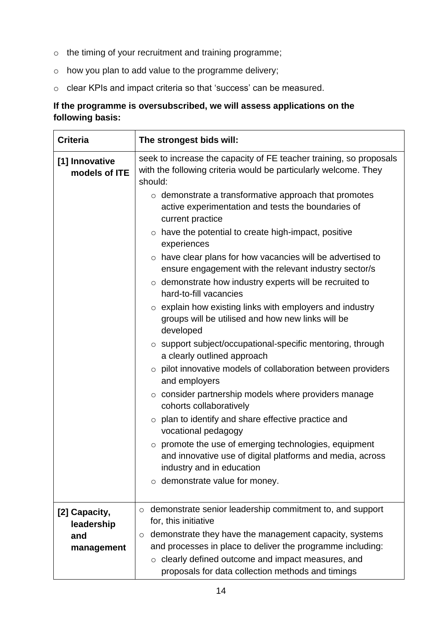- o the timing of your recruitment and training programme;
- o how you plan to add value to the programme delivery;
- o clear KPIs and impact criteria so that 'success' can be measured.

#### **If the programme is oversubscribed, we will assess applications on the following basis:**

| The strongest bids will:                                                                                                                                                                                                                                                                   |  |  |
|--------------------------------------------------------------------------------------------------------------------------------------------------------------------------------------------------------------------------------------------------------------------------------------------|--|--|
| seek to increase the capacity of FE teacher training, so proposals<br>with the following criteria would be particularly welcome. They<br>should:                                                                                                                                           |  |  |
| $\circ$ demonstrate a transformative approach that promotes<br>active experimentation and tests the boundaries of<br>current practice<br>$\circ$ have the potential to create high-impact, positive<br>experiences<br>$\circ$ have clear plans for how vacancies will be advertised to     |  |  |
| ensure engagement with the relevant industry sector/s<br>$\circ$ demonstrate how industry experts will be recruited to<br>hard-to-fill vacancies                                                                                                                                           |  |  |
| $\circ$ explain how existing links with employers and industry<br>groups will be utilised and how new links will be<br>developed                                                                                                                                                           |  |  |
| $\circ$ support subject/occupational-specific mentoring, through<br>a clearly outlined approach                                                                                                                                                                                            |  |  |
| $\circ$ pilot innovative models of collaboration between providers<br>and employers                                                                                                                                                                                                        |  |  |
| $\circ$ consider partnership models where providers manage<br>cohorts collaboratively                                                                                                                                                                                                      |  |  |
| $\circ$ plan to identify and share effective practice and<br>vocational pedagogy                                                                                                                                                                                                           |  |  |
| promote the use of emerging technologies, equipment<br>and innovative use of digital platforms and media, across<br>industry and in education<br>$\circ$ demonstrate value for money.                                                                                                      |  |  |
| demonstrate senior leadership commitment to, and support<br>$\circ$<br>for, this initiative<br>demonstrate they have the management capacity, systems<br>$\circ$<br>and processes in place to deliver the programme including:<br>$\circ$ clearly defined outcome and impact measures, and |  |  |
|                                                                                                                                                                                                                                                                                            |  |  |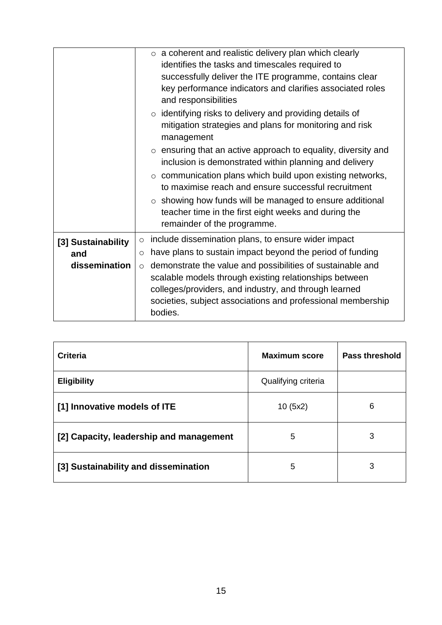|                                            | $\circ$ a coherent and realistic delivery plan which clearly<br>identifies the tasks and timescales required to<br>successfully deliver the ITE programme, contains clear<br>key performance indicators and clarifies associated roles<br>and responsibilities<br>$\circ$ identifying risks to delivery and providing details of<br>mitigation strategies and plans for monitoring and risk                                    |
|--------------------------------------------|--------------------------------------------------------------------------------------------------------------------------------------------------------------------------------------------------------------------------------------------------------------------------------------------------------------------------------------------------------------------------------------------------------------------------------|
|                                            | management<br>$\circ$ ensuring that an active approach to equality, diversity and<br>inclusion is demonstrated within planning and delivery<br>$\circ$ communication plans which build upon existing networks,<br>to maximise reach and ensure successful recruitment<br>$\circ$ showing how funds will be managed to ensure additional<br>teacher time in the first eight weeks and during the<br>remainder of the programme. |
| [3] Sustainability<br>and<br>dissemination | include dissemination plans, to ensure wider impact<br>$\circ$<br>have plans to sustain impact beyond the period of funding<br>$\circ$<br>demonstrate the value and possibilities of sustainable and<br>$\circ$<br>scalable models through existing relationships between<br>colleges/providers, and industry, and through learned<br>societies, subject associations and professional membership<br>bodies.                   |

| <b>Criteria</b>                         | <b>Maximum score</b> | Pass threshold |
|-----------------------------------------|----------------------|----------------|
| <b>Eligibility</b>                      | Qualifying criteria  |                |
| [1] Innovative models of ITE            | 10(5x2)              | 6              |
| [2] Capacity, leadership and management | 5                    | 3              |
| [3] Sustainability and dissemination    | 5                    | 3              |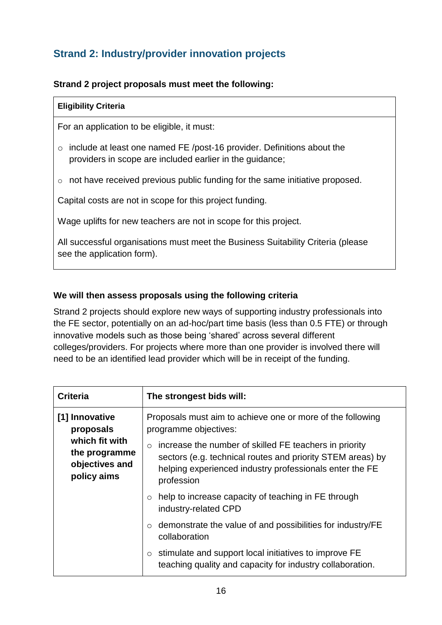## <span id="page-15-0"></span>**Strand 2: Industry/provider innovation projects**

#### **Strand 2 project proposals must meet the following:**

#### **Eligibility Criteria**

For an application to be eligible, it must:

- o include at least one named FE /post-16 provider. Definitions about the providers in scope are included earlier in the guidance;
- o not have received previous public funding for the same initiative proposed.

Capital costs are not in scope for this project funding.

Wage uplifts for new teachers are not in scope for this project.

All successful organisations must meet the Business Suitability Criteria (please see the application form).

#### **We will then assess proposals using the following criteria**

Strand 2 projects should explore new ways of supporting industry professionals into the FE sector, potentially on an ad-hoc/part time basis (less than 0.5 FTE) or through innovative models such as those being 'shared' across several different colleges/providers. For projects where more than one provider is involved there will need to be an identified lead provider which will be in receipt of the funding.

| <b>Criteria</b>                                                  | The strongest bids will:                                                                                                                                                                                 |
|------------------------------------------------------------------|----------------------------------------------------------------------------------------------------------------------------------------------------------------------------------------------------------|
| [1] Innovative<br>proposals                                      | Proposals must aim to achieve one or more of the following<br>programme objectives:                                                                                                                      |
| which fit with<br>the programme<br>objectives and<br>policy aims | increase the number of skilled FE teachers in priority<br>$\circ$<br>sectors (e.g. technical routes and priority STEM areas) by<br>helping experienced industry professionals enter the FE<br>profession |
|                                                                  | help to increase capacity of teaching in FE through<br>$\circ$<br>industry-related CPD                                                                                                                   |
|                                                                  | demonstrate the value of and possibilities for industry/FE<br>$\circ$<br>collaboration                                                                                                                   |
|                                                                  | stimulate and support local initiatives to improve FE<br>$\circ$<br>teaching quality and capacity for industry collaboration.                                                                            |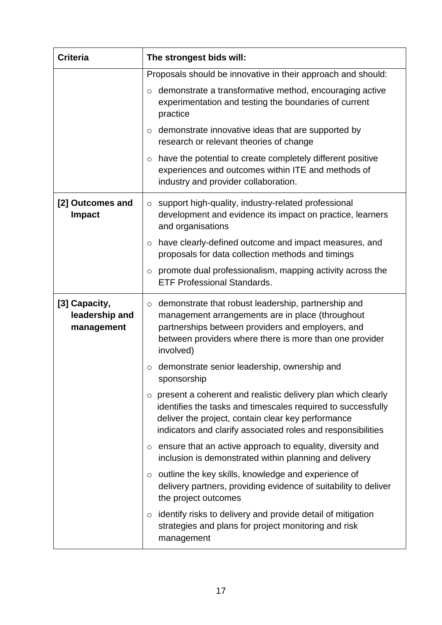| <b>Criteria</b>                               | The strongest bids will:                                                                                                                                                                                                                                      |  |  |
|-----------------------------------------------|---------------------------------------------------------------------------------------------------------------------------------------------------------------------------------------------------------------------------------------------------------------|--|--|
|                                               | Proposals should be innovative in their approach and should:                                                                                                                                                                                                  |  |  |
|                                               | demonstrate a transformative method, encouraging active<br>$\circ$<br>experimentation and testing the boundaries of current<br>practice                                                                                                                       |  |  |
|                                               | demonstrate innovative ideas that are supported by<br>$\circ$<br>research or relevant theories of change                                                                                                                                                      |  |  |
|                                               | have the potential to create completely different positive<br>$\circ$<br>experiences and outcomes within ITE and methods of<br>industry and provider collaboration.                                                                                           |  |  |
| [2] Outcomes and<br><b>Impact</b>             | support high-quality, industry-related professional<br>$\circ$<br>development and evidence its impact on practice, learners<br>and organisations                                                                                                              |  |  |
|                                               | have clearly-defined outcome and impact measures, and<br>$\circ$<br>proposals for data collection methods and timings                                                                                                                                         |  |  |
|                                               | promote dual professionalism, mapping activity across the<br>$\circ$<br><b>ETF Professional Standards.</b>                                                                                                                                                    |  |  |
| [3] Capacity,<br>leadership and<br>management | demonstrate that robust leadership, partnership and<br>$\circ$<br>management arrangements are in place (throughout<br>partnerships between providers and employers, and<br>between providers where there is more than one provider<br>involved)               |  |  |
|                                               | demonstrate senior leadership, ownership and<br>$\circ$<br>sponsorship                                                                                                                                                                                        |  |  |
|                                               | present a coherent and realistic delivery plan which clearly<br>$\circ$<br>identifies the tasks and timescales required to successfully<br>deliver the project, contain clear key performance<br>indicators and clarify associated roles and responsibilities |  |  |
|                                               | ensure that an active approach to equality, diversity and<br>O<br>inclusion is demonstrated within planning and delivery                                                                                                                                      |  |  |
|                                               | outline the key skills, knowledge and experience of<br>$\circ$<br>delivery partners, providing evidence of suitability to deliver<br>the project outcomes                                                                                                     |  |  |
|                                               | identify risks to delivery and provide detail of mitigation<br>$\circ$<br>strategies and plans for project monitoring and risk<br>management                                                                                                                  |  |  |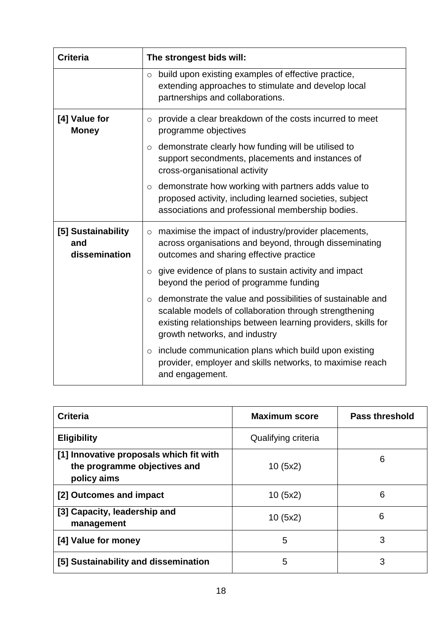| <b>Criteria</b>                            | The strongest bids will:                                                                                                                                                                                                          |
|--------------------------------------------|-----------------------------------------------------------------------------------------------------------------------------------------------------------------------------------------------------------------------------------|
|                                            | build upon existing examples of effective practice,<br>$\circ$<br>extending approaches to stimulate and develop local<br>partnerships and collaborations.                                                                         |
| [4] Value for<br><b>Money</b>              | provide a clear breakdown of the costs incurred to meet<br>$\circ$<br>programme objectives                                                                                                                                        |
|                                            | demonstrate clearly how funding will be utilised to<br>$\circ$<br>support secondments, placements and instances of<br>cross-organisational activity                                                                               |
|                                            | demonstrate how working with partners adds value to<br>$\circ$<br>proposed activity, including learned societies, subject<br>associations and professional membership bodies.                                                     |
| [5] Sustainability<br>and<br>dissemination | maximise the impact of industry/provider placements,<br>$\circ$<br>across organisations and beyond, through disseminating<br>outcomes and sharing effective practice                                                              |
|                                            | give evidence of plans to sustain activity and impact<br>$\circ$<br>beyond the period of programme funding                                                                                                                        |
|                                            | demonstrate the value and possibilities of sustainable and<br>$\circ$<br>scalable models of collaboration through strengthening<br>existing relationships between learning providers, skills for<br>growth networks, and industry |
|                                            | include communication plans which build upon existing<br>$\circ$<br>provider, employer and skills networks, to maximise reach<br>and engagement.                                                                                  |

| <b>Criteria</b>                                                                        | <b>Maximum score</b> | <b>Pass threshold</b> |
|----------------------------------------------------------------------------------------|----------------------|-----------------------|
| <b>Eligibility</b>                                                                     | Qualifying criteria  |                       |
| [1] Innovative proposals which fit with<br>the programme objectives and<br>policy aims | 10(5x2)              | 6                     |
| [2] Outcomes and impact                                                                | 10(5x2)              | 6                     |
| [3] Capacity, leadership and<br>management                                             | 10(5x2)              | 6                     |
| [4] Value for money                                                                    | 5                    | 3                     |
| [5] Sustainability and dissemination                                                   | 5                    | 3                     |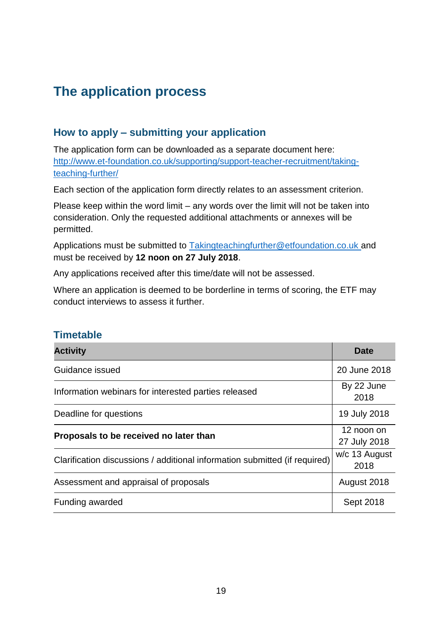## <span id="page-18-0"></span>**The application process**

## <span id="page-18-1"></span>**How to apply – submitting your application**

The application form can be downloaded as a separate document here: [http://www.et-foundation.co.uk/supporting/support-teacher-recruitment/taking](http://www.et-foundation.co.uk/supporting/support-teacher-recruitment/taking-teaching-further/)[teaching-further/](http://www.et-foundation.co.uk/supporting/support-teacher-recruitment/taking-teaching-further/)

Each section of the application form directly relates to an assessment criterion.

Please keep within the word limit – any words over the limit will not be taken into consideration. Only the requested additional attachments or annexes will be permitted.

Applications must be submitted to [Takingteachingfurther@etfoundation.co.uk](mailto:Takingteachingfurther@etfoundation.co.uk) and must be received by **12 noon on 27 July 2018**.

Any applications received after this time/date will not be assessed.

Where an application is deemed to be borderline in terms of scoring, the ETF may conduct interviews to assess it further.

### <span id="page-18-2"></span>**Timetable**

| <b>Activity</b>                                                            | Date                       |
|----------------------------------------------------------------------------|----------------------------|
| Guidance issued                                                            | 20 June 2018               |
| Information webinars for interested parties released                       | By 22 June<br>2018         |
| Deadline for questions                                                     | 19 July 2018               |
| Proposals to be received no later than                                     | 12 noon on<br>27 July 2018 |
| Clarification discussions / additional information submitted (if required) | w/c 13 August<br>2018      |
| Assessment and appraisal of proposals                                      | August 2018                |
| Funding awarded                                                            | Sept 2018                  |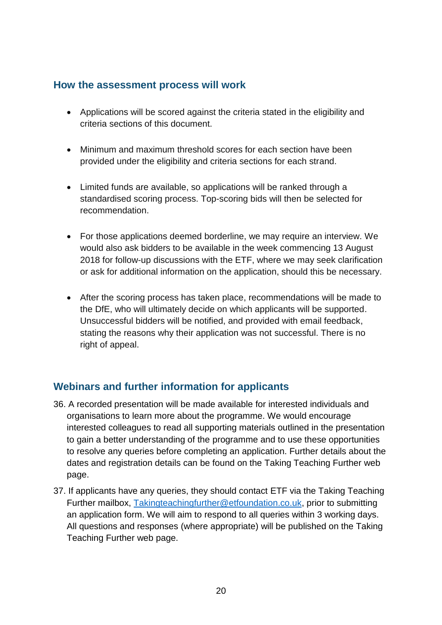### <span id="page-19-0"></span>**How the assessment process will work**

- Applications will be scored against the criteria stated in the eligibility and criteria sections of this document.
- Minimum and maximum threshold scores for each section have been provided under the eligibility and criteria sections for each strand.
- Limited funds are available, so applications will be ranked through a standardised scoring process. Top-scoring bids will then be selected for recommendation.
- For those applications deemed borderline, we may require an interview. We would also ask bidders to be available in the week commencing 13 August 2018 for follow-up discussions with the ETF, where we may seek clarification or ask for additional information on the application, should this be necessary.
- After the scoring process has taken place, recommendations will be made to the DfE, who will ultimately decide on which applicants will be supported. Unsuccessful bidders will be notified, and provided with email feedback, stating the reasons why their application was not successful. There is no right of appeal.

### <span id="page-19-1"></span>**Webinars and further information for applicants**

- 36. A recorded presentation will be made available for interested individuals and organisations to learn more about the programme. We would encourage interested colleagues to read all supporting materials outlined in the presentation to gain a better understanding of the programme and to use these opportunities to resolve any queries before completing an application. Further details about the dates and registration details can be found on the Taking Teaching Further web page.
- 37. If applicants have any queries, they should contact ETF via the Taking Teaching Further mailbox, [Takingteachingfurther@etfoundation.co.uk,](mailto:Takingteachingfurther@etfoundation.co.uk) prior to submitting an application form. We will aim to respond to all queries within 3 working days. All questions and responses (where appropriate) will be published on the Taking Teaching Further web page.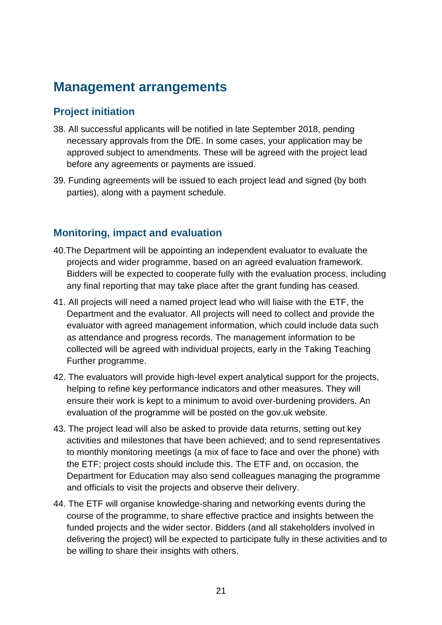## <span id="page-20-0"></span>**Management arrangements**

### <span id="page-20-1"></span>**Project initiation**

- 38. All successful applicants will be notified in late September 2018, pending necessary approvals from the DfE. In some cases, your application may be approved subject to amendments. These will be agreed with the project lead before any agreements or payments are issued.
- 39. Funding agreements will be issued to each project lead and signed (by both parties), along with a payment schedule.

### <span id="page-20-2"></span>**Monitoring, impact and evaluation**

- 40.The Department will be appointing an independent evaluator to evaluate the projects and wider programme, based on an agreed evaluation framework. Bidders will be expected to cooperate fully with the evaluation process, including any final reporting that may take place after the grant funding has ceased.
- 41. All projects will need a named project lead who will liaise with the ETF, the Department and the evaluator. All projects will need to collect and provide the evaluator with agreed management information, which could include data such as attendance and progress records. The management information to be collected will be agreed with individual projects, early in the Taking Teaching Further programme.
- 42. The evaluators will provide high-level expert analytical support for the projects, helping to refine key performance indicators and other measures. They will ensure their work is kept to a minimum to avoid over-burdening providers. An evaluation of the programme will be posted on the gov.uk website.
- 43. The project lead will also be asked to provide data returns, setting out key activities and milestones that have been achieved; and to send representatives to monthly monitoring meetings (a mix of face to face and over the phone) with the ETF; project costs should include this. The ETF and, on occasion, the Department for Education may also send colleagues managing the programme and officials to visit the projects and observe their delivery.
- 44. The ETF will organise knowledge-sharing and networking events during the course of the programme, to share effective practice and insights between the funded projects and the wider sector. Bidders (and all stakeholders involved in delivering the project) will be expected to participate fully in these activities and to be willing to share their insights with others.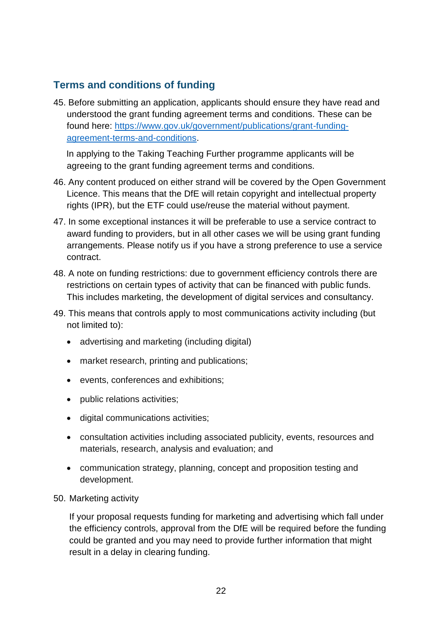## <span id="page-21-0"></span>**Terms and conditions of funding**

45. Before submitting an application, applicants should ensure they have read and understood the grant funding agreement terms and conditions. These can be found here: [https://www.gov.uk/government/publications/grant-funding](https://www.gov.uk/government/publications/grant-funding-agreement-terms-and-conditions)[agreement-terms-and-conditions.](https://www.gov.uk/government/publications/grant-funding-agreement-terms-and-conditions)

In applying to the Taking Teaching Further programme applicants will be agreeing to the grant funding agreement terms and conditions.

- 46. Any content produced on either strand will be covered by the Open Government Licence. This means that the DfE will retain copyright and intellectual property rights (IPR), but the ETF could use/reuse the material without payment.
- 47. In some exceptional instances it will be preferable to use a service contract to award funding to providers, but in all other cases we will be using grant funding arrangements. Please notify us if you have a strong preference to use a service contract.
- 48. A note on funding restrictions: due to government efficiency controls there are restrictions on certain types of activity that can be financed with public funds. This includes marketing, the development of digital services and consultancy.
- 49. This means that controls apply to most communications activity including (but not limited to):
	- advertising and marketing (including digital)
	- market research, printing and publications;
	- events, conferences and exhibitions;
	- public relations activities;
	- digital communications activities;
	- consultation activities including associated publicity, events, resources and materials, research, analysis and evaluation; and
	- communication strategy, planning, concept and proposition testing and development.
- 50. Marketing activity

If your proposal requests funding for marketing and advertising which fall under the efficiency controls, approval from the DfE will be required before the funding could be granted and you may need to provide further information that might result in a delay in clearing funding.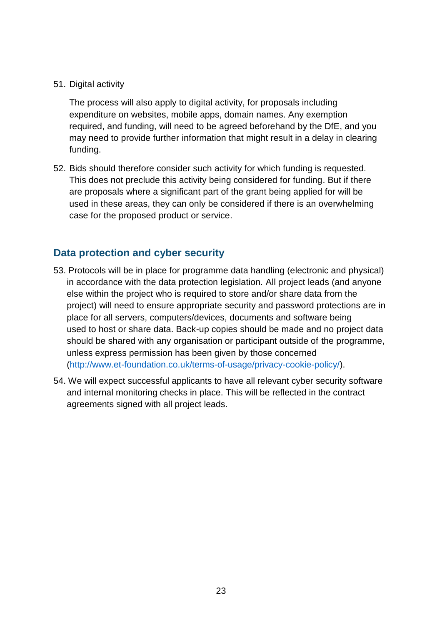51. Digital activity

The process will also apply to digital activity, for proposals including expenditure on websites, mobile apps, domain names. Any exemption required, and funding, will need to be agreed beforehand by the DfE, and you may need to provide further information that might result in a delay in clearing funding.

52. Bids should therefore consider such activity for which funding is requested. This does not preclude this activity being considered for funding. But if there are proposals where a significant part of the grant being applied for will be used in these areas, they can only be considered if there is an overwhelming case for the proposed product or service.

### <span id="page-22-0"></span>**Data protection and cyber security**

- 53. Protocols will be in place for programme data handling (electronic and physical) in accordance with the data protection legislation. All project leads (and anyone else within the project who is required to store and/or share data from the project) will need to ensure appropriate security and password protections are in place for all servers, computers/devices, documents and software being used to host or share data. Back-up copies should be made and no project data should be shared with any organisation or participant outside of the programme, unless express permission has been given by those concerned [\(http://www.et-foundation.co.uk/terms-of-usage/privacy-cookie-policy/\)](http://www.et-foundation.co.uk/terms-of-usage/privacy-cookie-policy/).
- <span id="page-22-1"></span>54. We will expect successful applicants to have all relevant cyber security software and internal monitoring checks in place. This will be reflected in the contract agreements signed with all project leads.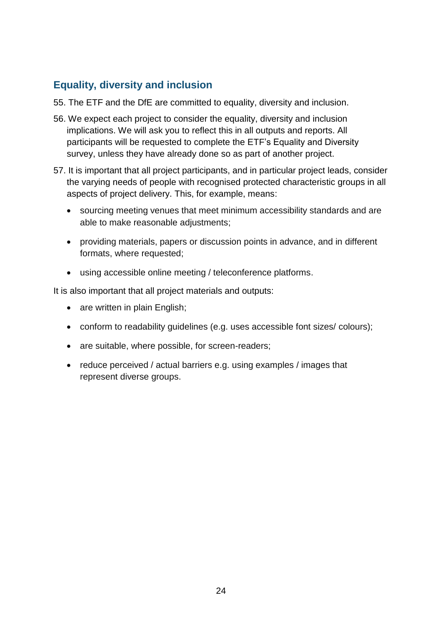## **Equality, diversity and inclusion**

- 55. The ETF and the DfE are committed to equality, diversity and inclusion.
- 56. We expect each project to consider the equality, diversity and inclusion implications. We will ask you to reflect this in all outputs and reports. All participants will be requested to complete the ETF's Equality and Diversity survey, unless they have already done so as part of another project.
- 57. It is important that all project participants, and in particular project leads, consider the varying needs of people with recognised protected characteristic groups in all aspects of project delivery. This, for example, means:
	- sourcing meeting venues that meet minimum accessibility standards and are able to make reasonable adjustments;
	- providing materials, papers or discussion points in advance, and in different formats, where requested;
	- using accessible online meeting / teleconference platforms.

It is also important that all project materials and outputs:

- are written in plain English;
- conform to readability guidelines (e.g. uses accessible font sizes/ colours);
- are suitable, where possible, for screen-readers;
- reduce perceived / actual barriers e.g. using examples / images that represent diverse groups.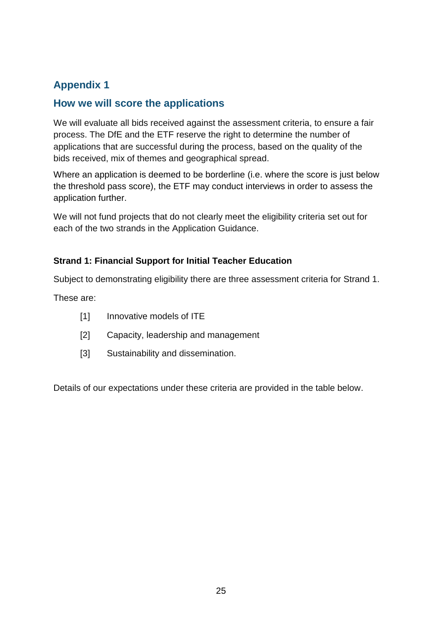## <span id="page-24-0"></span>**Appendix 1**

### <span id="page-24-1"></span>**How we will score the applications**

We will evaluate all bids received against the assessment criteria, to ensure a fair process. The DfE and the ETF reserve the right to determine the number of applications that are successful during the process, based on the quality of the bids received, mix of themes and geographical spread.

Where an application is deemed to be borderline (i.e. where the score is just below the threshold pass score), the ETF may conduct interviews in order to assess the application further.

We will not fund projects that do not clearly meet the eligibility criteria set out for each of the two strands in the Application Guidance.

#### **Strand 1: Financial Support for Initial Teacher Education**

Subject to demonstrating eligibility there are three assessment criteria for Strand 1.

These are:

- [1] Innovative models of ITE
- [2] Capacity, leadership and management
- [3] Sustainability and dissemination.

Details of our expectations under these criteria are provided in the table below.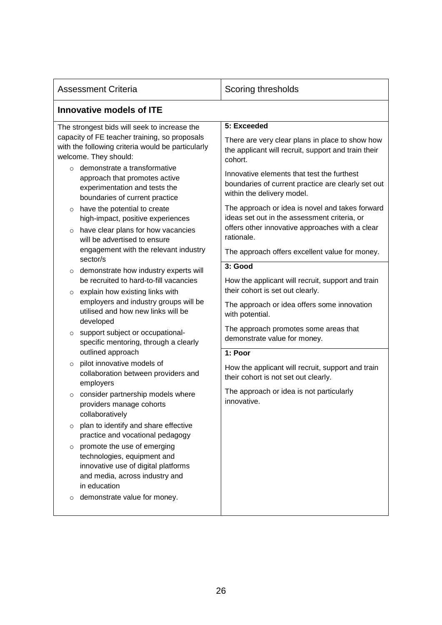| <b>Assessment Criteria</b>                                                                                                                                                  | Scoring thresholds                                                                                                                                               |  |  |
|-----------------------------------------------------------------------------------------------------------------------------------------------------------------------------|------------------------------------------------------------------------------------------------------------------------------------------------------------------|--|--|
| <b>Innovative models of ITE</b>                                                                                                                                             |                                                                                                                                                                  |  |  |
| The strongest bids will seek to increase the<br>capacity of FE teacher training, so proposals<br>with the following criteria would be particularly<br>welcome. They should: | 5: Exceeded<br>There are very clear plans in place to show how<br>the applicant will recruit, support and train their<br>cohort.                                 |  |  |
| demonstrate a transformative<br>$\circ$<br>approach that promotes active<br>experimentation and tests the<br>boundaries of current practice                                 | Innovative elements that test the furthest<br>boundaries of current practice are clearly set out<br>within the delivery model.                                   |  |  |
| have the potential to create<br>$\circ$<br>high-impact, positive experiences<br>have clear plans for how vacancies<br>$\circ$<br>will be advertised to ensure               | The approach or idea is novel and takes forward<br>ideas set out in the assessment criteria, or<br>offers other innovative approaches with a clear<br>rationale. |  |  |
| engagement with the relevant industry<br>sector/s                                                                                                                           | The approach offers excellent value for money.                                                                                                                   |  |  |
| demonstrate how industry experts will<br>$\circ$<br>be recruited to hard-to-fill vacancies<br>explain how existing links with<br>$\circ$                                    | 3: Good<br>How the applicant will recruit, support and train<br>their cohort is set out clearly.                                                                 |  |  |
| employers and industry groups will be<br>utilised and how new links will be<br>developed                                                                                    | The approach or idea offers some innovation<br>with potential.                                                                                                   |  |  |
| support subject or occupational-<br>$\circ$<br>specific mentoring, through a clearly<br>outlined approach                                                                   | The approach promotes some areas that<br>demonstrate value for money.<br>1: Poor                                                                                 |  |  |
| pilot innovative models of<br>$\circ$<br>collaboration between providers and<br>employers                                                                                   | How the applicant will recruit, support and train<br>their cohort is not set out clearly.                                                                        |  |  |
| consider partnership models where<br>$\circ$<br>providers manage cohorts<br>collaboratively                                                                                 | The approach or idea is not particularly<br>innovative.                                                                                                          |  |  |
| plan to identify and share effective<br>O<br>practice and vocational pedagogy                                                                                               |                                                                                                                                                                  |  |  |
| promote the use of emerging<br>$\circ$<br>technologies, equipment and<br>innovative use of digital platforms<br>and media, across industry and<br>in education              |                                                                                                                                                                  |  |  |
| demonstrate value for money.<br>$\circ$                                                                                                                                     |                                                                                                                                                                  |  |  |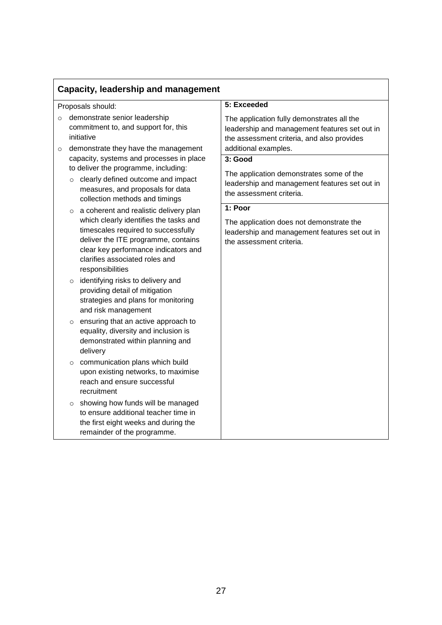| <b>Capacity, leadership and management</b> |                                                                                                                                                                                                                                                                                                                                                                                                                                                                                                                                                                                                                                                                                                                                                 |                                                                                                                                                                   |  |
|--------------------------------------------|-------------------------------------------------------------------------------------------------------------------------------------------------------------------------------------------------------------------------------------------------------------------------------------------------------------------------------------------------------------------------------------------------------------------------------------------------------------------------------------------------------------------------------------------------------------------------------------------------------------------------------------------------------------------------------------------------------------------------------------------------|-------------------------------------------------------------------------------------------------------------------------------------------------------------------|--|
|                                            | Proposals should:                                                                                                                                                                                                                                                                                                                                                                                                                                                                                                                                                                                                                                                                                                                               | 5: Exceeded                                                                                                                                                       |  |
| $\circ$<br>$\circ$                         | demonstrate senior leadership<br>commitment to, and support for, this<br>initiative<br>demonstrate they have the management<br>capacity, systems and processes in place<br>to deliver the programme, including:<br>o clearly defined outcome and impact<br>measures, and proposals for data<br>collection methods and timings<br>o a coherent and realistic delivery plan<br>which clearly identifies the tasks and<br>timescales required to successfully<br>deliver the ITE programme, contains<br>clear key performance indicators and<br>clarifies associated roles and<br>responsibilities<br>identifying risks to delivery and<br>$\circ$<br>providing detail of mitigation<br>strategies and plans for monitoring<br>and risk management | The application fully demonstrates all the<br>leadership and management features set out in<br>the assessment criteria, and also provides<br>additional examples. |  |
|                                            |                                                                                                                                                                                                                                                                                                                                                                                                                                                                                                                                                                                                                                                                                                                                                 | 3: Good<br>The application demonstrates some of the<br>leadership and management features set out in<br>the assessment criteria.                                  |  |
|                                            |                                                                                                                                                                                                                                                                                                                                                                                                                                                                                                                                                                                                                                                                                                                                                 | 1: Poor<br>The application does not demonstrate the<br>leadership and management features set out in<br>the assessment criteria.                                  |  |
|                                            |                                                                                                                                                                                                                                                                                                                                                                                                                                                                                                                                                                                                                                                                                                                                                 |                                                                                                                                                                   |  |
| $\circ$                                    | ensuring that an active approach to<br>equality, diversity and inclusion is<br>demonstrated within planning and<br>delivery                                                                                                                                                                                                                                                                                                                                                                                                                                                                                                                                                                                                                     |                                                                                                                                                                   |  |
|                                            | o communication plans which build<br>upon existing networks, to maximise<br>reach and ensure successful<br>recruitment<br>o showing how funds will be managed<br>to ensure additional teacher time in<br>the first eight weeks and during the<br>remainder of the programme.                                                                                                                                                                                                                                                                                                                                                                                                                                                                    |                                                                                                                                                                   |  |
|                                            |                                                                                                                                                                                                                                                                                                                                                                                                                                                                                                                                                                                                                                                                                                                                                 |                                                                                                                                                                   |  |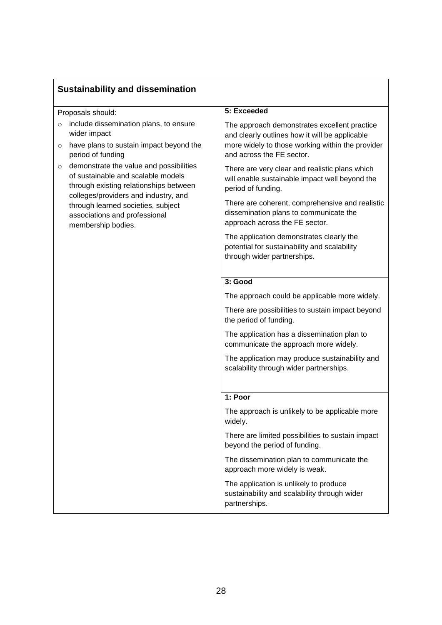## **Sustainability and dissemination**

| Proposals should:                                                                                                                                                                                                                                            | 5: Exceeded                                                                                                                                        |
|--------------------------------------------------------------------------------------------------------------------------------------------------------------------------------------------------------------------------------------------------------------|----------------------------------------------------------------------------------------------------------------------------------------------------|
| include dissemination plans, to ensure<br>$\circ$<br>wider impact<br>have plans to sustain impact beyond the<br>$\circ$                                                                                                                                      | The approach demonstrates excellent practice<br>and clearly outlines how it will be applicable<br>more widely to those working within the provider |
| period of funding                                                                                                                                                                                                                                            | and across the FE sector.                                                                                                                          |
| demonstrate the value and possibilities<br>of sustainable and scalable models<br>through existing relationships between<br>colleges/providers and industry, and<br>through learned societies, subject<br>associations and professional<br>membership bodies. | There are very clear and realistic plans which<br>will enable sustainable impact well beyond the<br>period of funding.                             |
|                                                                                                                                                                                                                                                              | There are coherent, comprehensive and realistic<br>dissemination plans to communicate the<br>approach across the FE sector.                        |
|                                                                                                                                                                                                                                                              | The application demonstrates clearly the<br>potential for sustainability and scalability<br>through wider partnerships.                            |
|                                                                                                                                                                                                                                                              | 3: Good                                                                                                                                            |
|                                                                                                                                                                                                                                                              | The approach could be applicable more widely.                                                                                                      |
|                                                                                                                                                                                                                                                              | There are possibilities to sustain impact beyond<br>the period of funding.                                                                         |
|                                                                                                                                                                                                                                                              | The application has a dissemination plan to<br>communicate the approach more widely.                                                               |
|                                                                                                                                                                                                                                                              | The application may produce sustainability and<br>scalability through wider partnerships.                                                          |
|                                                                                                                                                                                                                                                              | 1: Poor                                                                                                                                            |
|                                                                                                                                                                                                                                                              |                                                                                                                                                    |
|                                                                                                                                                                                                                                                              | The approach is unlikely to be applicable more<br>widely.                                                                                          |
|                                                                                                                                                                                                                                                              | There are limited possibilities to sustain impact<br>beyond the period of funding.                                                                 |
|                                                                                                                                                                                                                                                              | The dissemination plan to communicate the<br>approach more widely is weak.                                                                         |
|                                                                                                                                                                                                                                                              | The application is unlikely to produce<br>sustainability and scalability through wider<br>partnerships.                                            |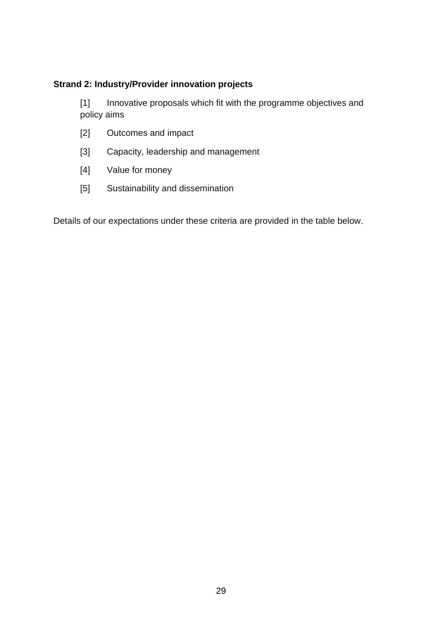#### <span id="page-28-0"></span>**Strand 2: Industry/Provider innovation projects**

[1] Innovative proposals which fit with the programme objectives and policy aims

- [2] Outcomes and impact
- [3] Capacity, leadership and management
- [4] Value for money
- [5] Sustainability and dissemination

Details of our expectations under these criteria are provided in the table below.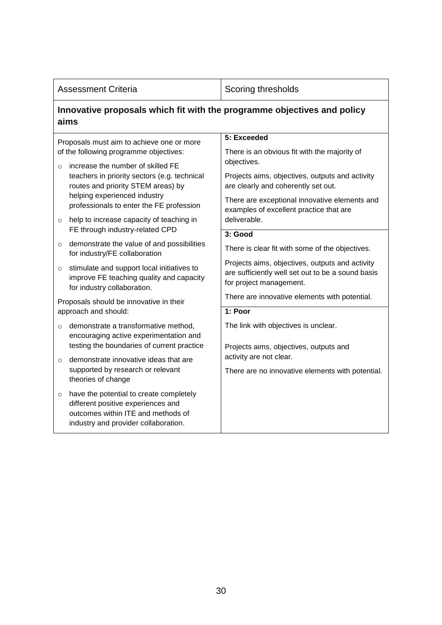| <b>Assessment Criteria</b>                                                          |                                                                                                                                                             | Scoring thresholds                                                                                                              |  |  |  |
|-------------------------------------------------------------------------------------|-------------------------------------------------------------------------------------------------------------------------------------------------------------|---------------------------------------------------------------------------------------------------------------------------------|--|--|--|
|                                                                                     | Innovative proposals which fit with the programme objectives and policy<br>aims                                                                             |                                                                                                                                 |  |  |  |
| Proposals must aim to achieve one or more<br>of the following programme objectives: |                                                                                                                                                             | 5: Exceeded<br>There is an obvious fit with the majority of                                                                     |  |  |  |
| $\circ$                                                                             | increase the number of skilled FE                                                                                                                           | objectives.                                                                                                                     |  |  |  |
|                                                                                     | teachers in priority sectors (e.g. technical<br>routes and priority STEM areas) by                                                                          | Projects aims, objectives, outputs and activity<br>are clearly and coherently set out.                                          |  |  |  |
|                                                                                     | helping experienced industry<br>professionals to enter the FE profession                                                                                    | There are exceptional innovative elements and<br>examples of excellent practice that are                                        |  |  |  |
| $\circ$                                                                             | help to increase capacity of teaching in<br>FE through industry-related CPD                                                                                 | deliverable.<br>3: Good                                                                                                         |  |  |  |
| $\circ$                                                                             | demonstrate the value of and possibilities<br>for industry/FE collaboration                                                                                 | There is clear fit with some of the objectives.                                                                                 |  |  |  |
| $\circ$                                                                             | stimulate and support local initiatives to<br>improve FE teaching quality and capacity<br>for industry collaboration.                                       | Projects aims, objectives, outputs and activity<br>are sufficiently well set out to be a sound basis<br>for project management. |  |  |  |
|                                                                                     | Proposals should be innovative in their                                                                                                                     | There are innovative elements with potential.                                                                                   |  |  |  |
|                                                                                     | approach and should:<br>demonstrate a transformative method,                                                                                                | 1: Poor<br>The link with objectives is unclear.                                                                                 |  |  |  |
| $\circ$                                                                             | encouraging active experimentation and<br>testing the boundaries of current practice                                                                        | Projects aims, objectives, outputs and                                                                                          |  |  |  |
| $\circ$                                                                             | demonstrate innovative ideas that are                                                                                                                       | activity are not clear.                                                                                                         |  |  |  |
|                                                                                     | supported by research or relevant<br>theories of change                                                                                                     | There are no innovative elements with potential.                                                                                |  |  |  |
| $\circ$                                                                             | have the potential to create completely<br>different positive experiences and<br>outcomes within ITE and methods of<br>industry and provider collaboration. |                                                                                                                                 |  |  |  |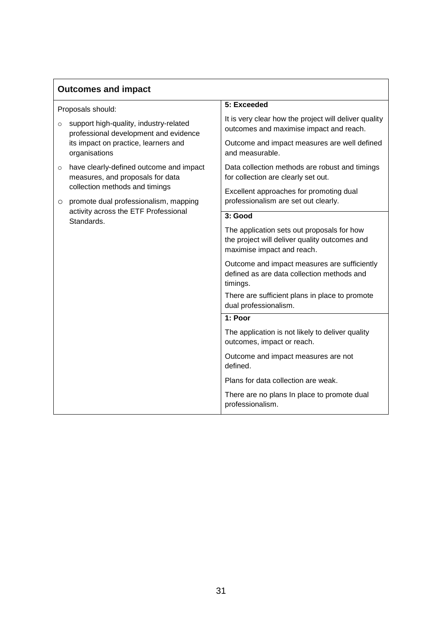| <b>Outcomes and impact</b> |                                                                                                                                          |                                                                                                                           |
|----------------------------|------------------------------------------------------------------------------------------------------------------------------------------|---------------------------------------------------------------------------------------------------------------------------|
|                            | Proposals should:                                                                                                                        | 5: Exceeded                                                                                                               |
| $\circ$                    | support high-quality, industry-related<br>professional development and evidence<br>its impact on practice, learners and<br>organisations | It is very clear how the project will deliver quality<br>outcomes and maximise impact and reach.                          |
|                            |                                                                                                                                          | Outcome and impact measures are well defined<br>and measurable.                                                           |
| $\circ$<br>$\circ$         | have clearly-defined outcome and impact<br>measures, and proposals for data                                                              | Data collection methods are robust and timings<br>for collection are clearly set out.                                     |
|                            | collection methods and timings<br>promote dual professionalism, mapping<br>activity across the ETF Professional<br>Standards.            | Excellent approaches for promoting dual<br>professionalism are set out clearly.                                           |
|                            |                                                                                                                                          | 3: Good                                                                                                                   |
|                            |                                                                                                                                          | The application sets out proposals for how<br>the project will deliver quality outcomes and<br>maximise impact and reach. |
|                            |                                                                                                                                          | Outcome and impact measures are sufficiently<br>defined as are data collection methods and<br>timings.                    |
|                            |                                                                                                                                          | There are sufficient plans in place to promote<br>dual professionalism.                                                   |
|                            |                                                                                                                                          | 1: Poor                                                                                                                   |
|                            |                                                                                                                                          | The application is not likely to deliver quality<br>outcomes, impact or reach.                                            |
|                            |                                                                                                                                          | Outcome and impact measures are not<br>defined.                                                                           |
|                            |                                                                                                                                          | Plans for data collection are weak.                                                                                       |
|                            |                                                                                                                                          | There are no plans In place to promote dual<br>professionalism.                                                           |

٦

 $\overline{1}$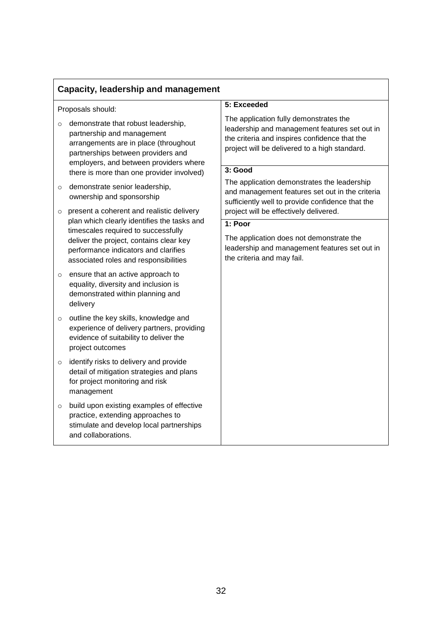| Capacity, leadership and management |                                                                                                                                                                                                                                                             |                                                                                                                                                                                           |  |
|-------------------------------------|-------------------------------------------------------------------------------------------------------------------------------------------------------------------------------------------------------------------------------------------------------------|-------------------------------------------------------------------------------------------------------------------------------------------------------------------------------------------|--|
|                                     | Proposals should:                                                                                                                                                                                                                                           | 5: Exceeded                                                                                                                                                                               |  |
| $\circ$                             | demonstrate that robust leadership,<br>partnership and management<br>arrangements are in place (throughout<br>partnerships between providers and<br>employers, and between providers where                                                                  | The application fully demonstrates the<br>leadership and management features set out in<br>the criteria and inspires confidence that the<br>project will be delivered to a high standard. |  |
|                                     | there is more than one provider involved)                                                                                                                                                                                                                   | 3: Good                                                                                                                                                                                   |  |
| $\circ$                             | demonstrate senior leadership,<br>ownership and sponsorship                                                                                                                                                                                                 | The application demonstrates the leadership<br>and management features set out in the criteria<br>sufficiently well to provide confidence that the                                        |  |
| $\circ$                             | present a coherent and realistic delivery<br>plan which clearly identifies the tasks and<br>timescales required to successfully<br>deliver the project, contains clear key<br>performance indicators and clarifies<br>associated roles and responsibilities | project will be effectively delivered.                                                                                                                                                    |  |
|                                     |                                                                                                                                                                                                                                                             | 1: Poor                                                                                                                                                                                   |  |
|                                     |                                                                                                                                                                                                                                                             | The application does not demonstrate the<br>leadership and management features set out in<br>the criteria and may fail.                                                                   |  |
| $\circ$                             | ensure that an active approach to<br>equality, diversity and inclusion is<br>demonstrated within planning and<br>delivery                                                                                                                                   |                                                                                                                                                                                           |  |
| $\circ$                             | outline the key skills, knowledge and<br>experience of delivery partners, providing<br>evidence of suitability to deliver the<br>project outcomes                                                                                                           |                                                                                                                                                                                           |  |
| $\circ$                             | identify risks to delivery and provide<br>detail of mitigation strategies and plans<br>for project monitoring and risk<br>management                                                                                                                        |                                                                                                                                                                                           |  |
| $\circ$                             | build upon existing examples of effective<br>practice, extending approaches to<br>stimulate and develop local partnerships<br>and collaborations.                                                                                                           |                                                                                                                                                                                           |  |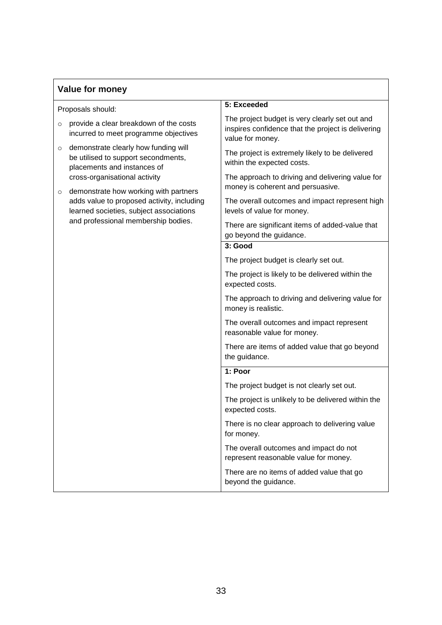## **Value for money**

| Proposals should:                                                                                                                                                     | 5: Exceeded                                                                                                              |
|-----------------------------------------------------------------------------------------------------------------------------------------------------------------------|--------------------------------------------------------------------------------------------------------------------------|
| provide a clear breakdown of the costs<br>$\circ$<br>incurred to meet programme objectives                                                                            | The project budget is very clearly set out and<br>inspires confidence that the project is delivering<br>value for money. |
| demonstrate clearly how funding will<br>$\circ$<br>be utilised to support secondments,<br>placements and instances of                                                 | The project is extremely likely to be delivered<br>within the expected costs.                                            |
| cross-organisational activity<br>$\circ$                                                                                                                              | The approach to driving and delivering value for<br>money is coherent and persuasive.                                    |
| demonstrate how working with partners<br>adds value to proposed activity, including<br>learned societies, subject associations<br>and professional membership bodies. | The overall outcomes and impact represent high<br>levels of value for money.                                             |
|                                                                                                                                                                       | There are significant items of added-value that<br>go beyond the guidance.                                               |
|                                                                                                                                                                       | 3: Good                                                                                                                  |
|                                                                                                                                                                       | The project budget is clearly set out.                                                                                   |
|                                                                                                                                                                       | The project is likely to be delivered within the<br>expected costs.                                                      |
|                                                                                                                                                                       | The approach to driving and delivering value for<br>money is realistic.                                                  |
|                                                                                                                                                                       | The overall outcomes and impact represent<br>reasonable value for money.                                                 |
|                                                                                                                                                                       | There are items of added value that go beyond<br>the guidance.                                                           |
|                                                                                                                                                                       | 1: Poor                                                                                                                  |
|                                                                                                                                                                       | The project budget is not clearly set out.                                                                               |
|                                                                                                                                                                       | The project is unlikely to be delivered within the<br>expected costs.                                                    |
|                                                                                                                                                                       | There is no clear approach to delivering value<br>for money.                                                             |
|                                                                                                                                                                       | The overall outcomes and impact do not<br>represent reasonable value for money.                                          |
|                                                                                                                                                                       | There are no items of added value that go<br>beyond the guidance.                                                        |